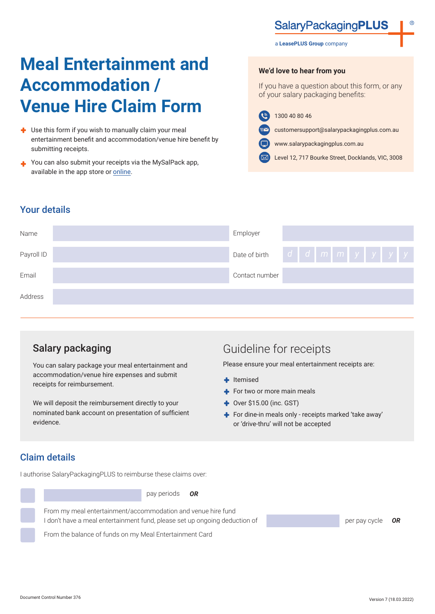# **SalaryPackagingPLUS**

#### a **LeasePLUS Group** company

# **Meal Entertainment and Accommodation / Venue Hire Claim Form**

- Use this form if you wish to manually claim your meal entertainment benefit and accommodation/venue hire benefit by submitting receipts.
- You can also submit your receipts via the MySalPack app, available in the app store or [online.](https://www.salarypackagingplus.com.au/mysalpack)

**We'd love to hear from you**

If you have a question about this form, or any of your salary packaging benefits:

1300 40 80 46  $\mathbf{G}$ 

customersupport@salarypackagingplus.com.au ∍∼

www.salarypackagingplus.com.au

Level 12, 717 Bourke Street, Docklands, VIC, 3008

#### Your details



## Salary packaging

You can salary package your meal entertainment and accommodation/venue hire expenses and submit receipts for reimbursement.

We will deposit the reimbursement directly to your nominated bank account on presentation of sufficient evidence.

## Guideline for receipts

Please ensure your meal entertainment receipts are:

- $+$  Itemised
- For two or more main meals
- $\rightarrow$  Over \$15.00 (inc. GST)
- For dine-in meals only receipts marked 'take away' or 'drive-thru' will not be accepted

#### Claim details

I authorise SalaryPackagingPLUS to reimburse these claims over:



pay periods *OR*

From my meal entertainment/accommodation and venue hire fund I don't have a meal entertainment fund, please set up ongoing deduction of

From the balance of funds on my Meal Entertainment Card

per pay cycle *OR*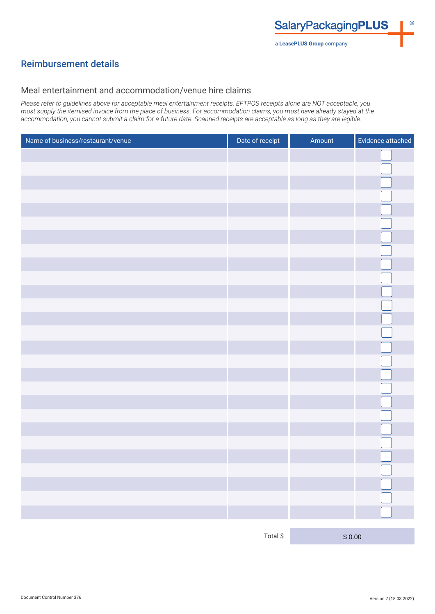### Reimbursement details

#### Meal entertainment and accommodation/venue hire claims

*Please refer to guidelines above for acceptable meal entertainment receipts. EFTPOS receipts alone are NOT acceptable, you must supply the itemised invoice from the place of business. For accommodation claims, you must have already stayed at the accommodation, you cannot submit a claim for a future date. Scanned receipts are acceptable as long as they are legible.*

| Name of business/restaurant/venue | Date of receipt                 | Amount | Evidence attached |
|-----------------------------------|---------------------------------|--------|-------------------|
|                                   |                                 |        |                   |
|                                   |                                 |        |                   |
|                                   |                                 |        |                   |
|                                   |                                 |        |                   |
|                                   |                                 |        |                   |
|                                   |                                 |        |                   |
|                                   |                                 |        |                   |
|                                   |                                 |        |                   |
|                                   |                                 |        |                   |
|                                   |                                 |        |                   |
|                                   |                                 |        |                   |
|                                   |                                 |        |                   |
|                                   |                                 |        |                   |
|                                   |                                 |        |                   |
|                                   |                                 |        |                   |
|                                   |                                 |        |                   |
|                                   |                                 |        |                   |
|                                   |                                 |        |                   |
|                                   |                                 |        |                   |
|                                   |                                 |        |                   |
|                                   |                                 |        |                   |
|                                   |                                 |        |                   |
|                                   |                                 |        | ى                 |
|                                   |                                 |        |                   |
|                                   |                                 |        |                   |
|                                   |                                 |        |                   |
|                                   |                                 |        |                   |
|                                   | $\textsf{Total} \, \texttt{\$}$ | \$0.00 |                   |